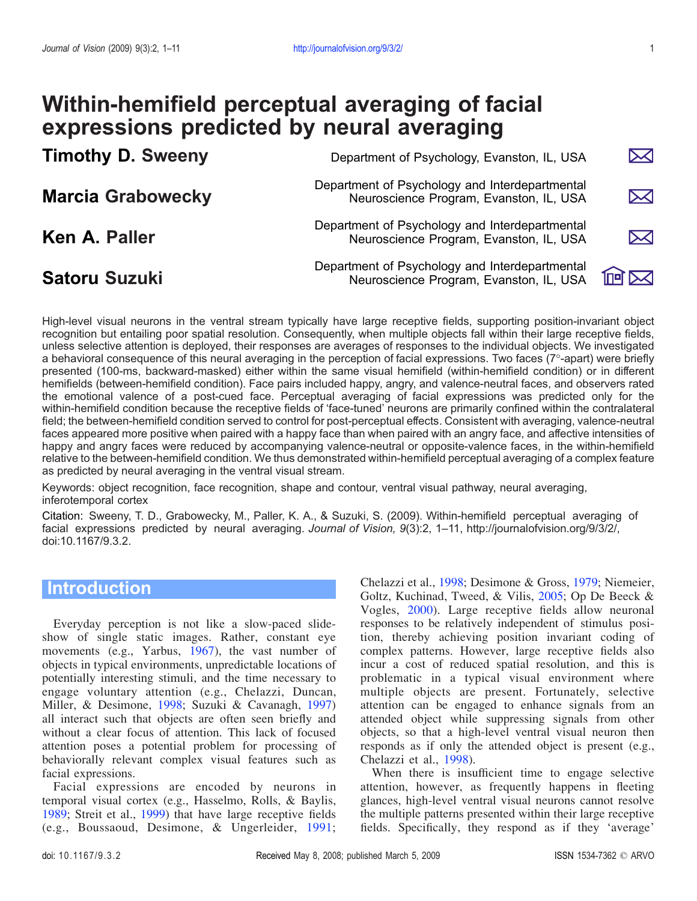# Within-hemifield perceptual averaging of facial expressions predicted by neural averaging

| <b>Timothy D. Sweeny</b> | Department of Psychology, Evanston, IL, USA                                               | $\bm{\times}$ |
|--------------------------|-------------------------------------------------------------------------------------------|---------------|
| <b>Marcia Grabowecky</b> | Department of Psychology and Interdepartmental<br>Neuroscience Program, Evanston, IL, USA | $\boxtimes$   |
| Ken A. Paller            | Department of Psychology and Interdepartmental<br>Neuroscience Program, Evanston, IL, USA | $\bowtie$     |
| <b>Satoru Suzuki</b>     | Department of Psychology and Interdepartmental<br>Neuroscience Program, Evanston, IL, USA | 阿冈            |

High-level visual neurons in the ventral stream typically have large receptive fields, supporting position-invariant object recognition but entailing poor spatial resolution. Consequently, when multiple objects fall within their large receptive fields, unless selective attention is deployed, their responses are averages of responses to the individual objects. We investigated a behavioral consequence of this neural averaging in the perception of facial expressions. Two faces  $(7^\circ\text{-apart})$  were briefly presented (100-ms, backward-masked) either within the same visual hemifield (within-hemifield condition) or in different hemifields (between-hemifield condition). Face pairs included happy, angry, and valence-neutral faces, and observers rated the emotional valence of a post-cued face. Perceptual averaging of facial expressions was predicted only for the within-hemifield condition because the receptive fields of 'face-tuned' neurons are primarily confined within the contralateral field; the between-hemifield condition served to control for post-perceptual effects. Consistent with averaging, valence-neutral faces appeared more positive when paired with a happy face than when paired with an angry face, and affective intensities of happy and angry faces were reduced by accompanying valence-neutral or opposite-valence faces, in the within-hemifield relative to the between-hemifield condition. We thus demonstrated within-hemifield perceptual averaging of a complex feature as predicted by neural averaging in the ventral visual stream.

Keywords: object recognition, face recognition, shape and contour, ventral visual pathway, neural averaging, inferotemporal cortex

Citation: Sweeny, T. D., Grabowecky, M., Paller, K. A., & Suzuki, S. (2009). Within-hemifield perceptual averaging of facial expressions predicted by neural averaging. Journal of Vision, 9(3):2, 1–11, http://journalofvision.org/9/3/2/, doi:10.1167/9.3.2.

### **Introduction**

Everyday perception is not like a slow-paced slideshow of single static images. Rather, constant eye movements (e.g., Yarbus, [1967](#page-10-0)), the vast number of objects in typical environments, unpredictable locations of potentially interesting stimuli, and the time necessary to engage voluntary attention (e.g., Chelazzi, Duncan, Miller, & Desimone, [1998](#page-9-0); Suzuki & Cavanagh, [1997\)](#page-10-0) all interact such that objects are often seen briefly and without a clear focus of attention. This lack of focused attention poses a potential problem for processing of behaviorally relevant complex visual features such as facial expressions.

<span id="page-0-0"></span>Facial expressions are encoded by neurons in temporal visual cortex (e.g., Hasselmo, Rolls, & Baylis, [1989;](#page-9-0) Streit et al., [1999](#page-10-0)) that have large receptive fields (e.g., Boussaoud, Desimone, & Ungerleider, [1991](#page-9-0);

Chelazzi et al., [1998](#page-9-0); Desimone & Gross, [1979](#page-9-0); Niemeier, Goltz, Kuchinad, Tweed, & Vilis, [2005;](#page-9-0) Op De Beeck & Vogles, [2000](#page-9-0)). Large receptive fields allow neuronal responses to be relatively independent of stimulus position, thereby achieving position invariant coding of complex patterns. However, large receptive fields also incur a cost of reduced spatial resolution, and this is problematic in a typical visual environment where multiple objects are present. Fortunately, selective attention can be engaged to enhance signals from an attended object while suppressing signals from other objects, so that a high-level ventral visual neuron then responds as if only the attended object is present (e.g., Chelazzi et al., [1998\)](#page-9-0).

When there is insufficient time to engage selective attention, however, as frequently happens in fleeting glances, high-level ventral visual neurons cannot resolve the multiple patterns presented within their large receptive fields. Specifically, they respond as if they 'average'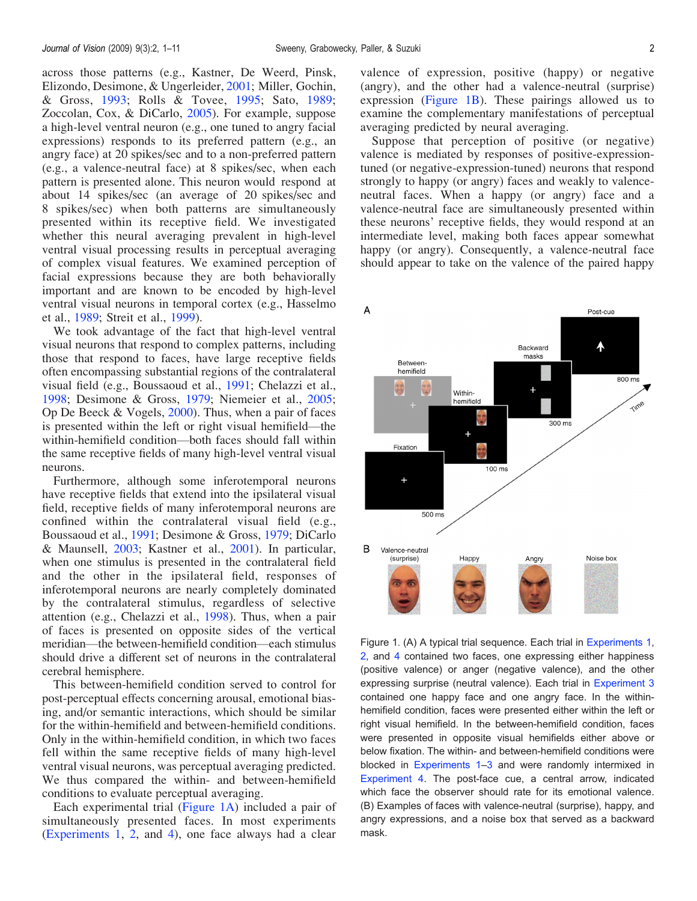across those patterns (e.g., Kastner, De Weerd, Pinsk, Elizondo, Desimone, & Ungerleider, [2001;](#page-9-0) Miller, Gochin, & Gross, [1993](#page-9-0); Rolls & Tovee, [1995](#page-9-0); Sato, [1989](#page-9-0); Zoccolan, Cox, & DiCarlo, [2005](#page-10-0)). For example, suppose a high-level ventral neuron (e.g., one tuned to angry facial expressions) responds to its preferred pattern (e.g., an angry face) at 20 spikes/sec and to a non-preferred pattern (e.g., a valence-neutral face) at 8 spikes/sec, when each pattern is presented alone. This neuron would respond at about 14 spikes/sec (an average of 20 spikes/sec and 8 spikes/sec) when both patterns are simultaneously presented within its receptive field. We investigated whether this neural averaging prevalent in high-level ventral visual processing results in perceptual averaging of complex visual features. We examined perception of facial expressions because they are both behaviorally important and are known to be encoded by high-level ventral visual neurons in temporal cortex (e.g., Hasselmo et al., [1989;](#page-9-0) Streit et al., [1999\)](#page-10-0).

We took advantage of the fact that high-level ventral visual neurons that respond to complex patterns, including those that respond to faces, have large receptive fields often encompassing substantial regions of the contralateral visual field (e.g., Boussaoud et al., [1991](#page-9-0); Chelazzi et al., [1998;](#page-9-0) Desimone & Gross, [1979;](#page-9-0) Niemeier et al., [2005](#page-9-0); Op De Beeck & Vogels, [2000\)](#page-9-0). Thus, when a pair of faces is presented within the left or right visual hemifield—the within-hemifield condition-both faces should fall within the same receptive fields of many high-level ventral visual neurons.

Furthermore, although some inferotemporal neurons have receptive fields that extend into the ipsilateral visual field, receptive fields of many inferotemporal neurons are confined within the contralateral visual field (e.g., Boussaoud et al., [1991;](#page-9-0) Desimone & Gross, [1979](#page-9-0); DiCarlo & Maunsell, [2003;](#page-9-0) Kastner et al., [2001\)](#page-9-0). In particular, when one stimulus is presented in the contralateral field and the other in the ipsilateral field, responses of inferotemporal neurons are nearly completely dominated by the contralateral stimulus, regardless of selective attention (e.g., Chelazzi et al., [1998](#page-9-0)). Thus, when a pair of faces is presented on opposite sides of the vertical meridian—the between-hemifield condition—each stimulus should drive a different set of neurons in the contralateral cerebral hemisphere.

This between-hemifield condition served to control for post-perceptual effects concerning arousal, emotional biasing, and/or semantic interactions, which should be similar for the within-hemifield and between-hemifield conditions. Only in the within-hemifield condition, in which two faces fell within the same receptive fields of many high-level ventral visual neurons, was perceptual averaging predicted. We thus compared the within- and between-hemifield conditions to evaluate perceptual averaging.

<span id="page-1-0"></span>Each experimental trial [\(Figure 1A](#page-1-0)) included a pair of simultaneously presented faces. In most experiments ([Experiments 1](#page-2-0), [2](#page-4-0), and [4](#page-6-0)), one face always had a clear valence of expression, positive (happy) or negative (angry), and the other had a valence-neutral (surprise) expression ([Figure 1B\)](#page-1-0). These pairings allowed us to examine the complementary manifestations of perceptual averaging predicted by neural averaging.

Suppose that perception of positive (or negative) valence is mediated by responses of positive-expressiontuned (or negative-expression-tuned) neurons that respond strongly to happy (or angry) faces and weakly to valenceneutral faces. When a happy (or angry) face and a valence-neutral face are simultaneously presented within these neurons' receptive fields, they would respond at an intermediate level, making both faces appear somewhat happy (or angry). Consequently, a valence-neutral face should appear to take on the valence of the paired happy



Figure 1. (A) A typical trial sequence. Each trial in [Experiments 1,](#page-2-0) [2,](#page-4-0) and [4](#page-6-0) contained two faces, one expressing either happiness (positive valence) or anger (negative valence), and the other expressing surprise (neutral valence). Each trial in [Experiment 3](#page-4-0) contained one happy face and one angry face. In the withinhemifield condition, faces were presented either within the left or right visual hemifield. In the between-hemifield condition, faces were presented in opposite visual hemifields either above or below fixation. The within- and between-hemifield conditions were blocked in [Experiments 1](#page-2-0)–[3](#page-4-0) and were randomly intermixed in [Experiment 4](#page-6-0). The post-face cue, a central arrow, indicated which face the observer should rate for its emotional valence. (B) Examples of faces with valence-neutral (surprise), happy, and angry expressions, and a noise box that served as a backward mask.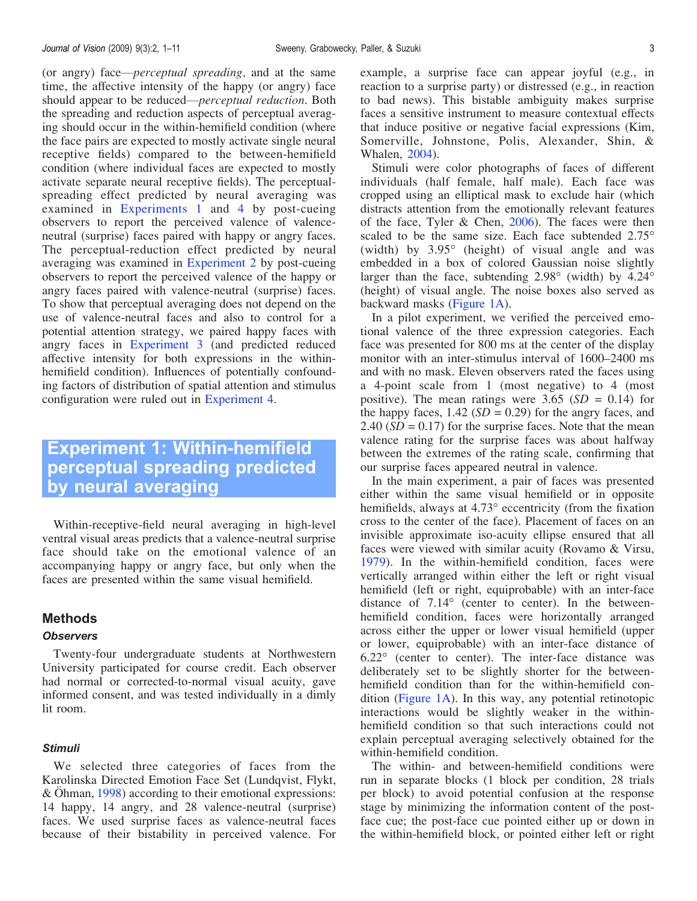(or angry) face—*perceptual spreading*, and at the same time, the affective intensity of the happy (or angry) face should appear to be reduced—perceptual reduction. Both the spreading and reduction aspects of perceptual averaging should occur in the within-hemifield condition (where the face pairs are expected to mostly activate single neural receptive fields) compared to the between-hemifield condition (where individual faces are expected to mostly activate separate neural receptive fields). The perceptualspreading effect predicted by neural averaging was examined in [Experiments 1](#page-2-0) and [4](#page-6-0) by post-cueing observers to report the perceived valence of valenceneutral (surprise) faces paired with happy or angry faces. The perceptual-reduction effect predicted by neural averaging was examined in [Experiment 2](#page-4-0) by post-cueing observers to report the perceived valence of the happy or angry faces paired with valence-neutral (surprise) faces. To show that perceptual averaging does not depend on the use of valence-neutral faces and also to control for a potential attention strategy, we paired happy faces with angry faces in [Experiment 3](#page-4-0) (and predicted reduced affective intensity for both expressions in the withinhemifield condition). Influences of potentially confounding factors of distribution of spatial attention and stimulus configuration were ruled out in [Experiment 4](#page-6-0).

## Experiment 1: Within-hemifield perceptual spreading predicted by neural averaging

Within-receptive-field neural averaging in high-level ventral visual areas predicts that a valence-neutral surprise face should take on the emotional valence of an accompanying happy or angry face, but only when the faces are presented within the same visual hemifield.

#### Methods

#### **Observers**

Twenty-four undergraduate students at Northwestern University participated for course credit. Each observer had normal or corrected-to-normal visual acuity, gave informed consent, and was tested individually in a dimly lit room.

#### Stimuli

<span id="page-2-0"></span>We selected three categories of faces from the Karolinska Directed Emotion Face Set (Lundqvist, Flykt, & Öhman,  $1998$ ) according to their emotional expressions: 14 happy, 14 angry, and 28 valence-neutral (surprise) faces. We used surprise faces as valence-neutral faces because of their bistability in perceived valence. For

example, a surprise face can appear joyful (e.g., in reaction to a surprise party) or distressed (e.g., in reaction to bad news). This bistable ambiguity makes surprise faces a sensitive instrument to measure contextual effects that induce positive or negative facial expressions (Kim, Somerville, Johnstone, Polis, Alexander, Shin, & Whalen, [2004\)](#page-9-0).

Stimuli were color photographs of faces of different individuals (half female, half male). Each face was cropped using an elliptical mask to exclude hair (which distracts attention from the emotionally relevant features of the face, Tyler & Chen, [2006](#page-10-0)). The faces were then scaled to be the same size. Each face subtended  $2.75^{\circ}$ (width) by  $3.95^{\circ}$  (height) of visual angle and was embedded in a box of colored Gaussian noise slightly larger than the face, subtending  $2.98^{\circ}$  (width) by  $4.24^{\circ}$ (height) of visual angle. The noise boxes also served as backward masks ([Figure 1A](#page-1-0)).

In a pilot experiment, we verified the perceived emotional valence of the three expression categories. Each face was presented for 800 ms at the center of the display monitor with an inter-stimulus interval of 1600–2400 ms and with no mask. Eleven observers rated the faces using a 4-point scale from 1 (most negative) to 4 (most positive). The mean ratings were  $3.65$  (SD = 0.14) for the happy faces,  $1.42$  (SD = 0.29) for the angry faces, and  $2.40$  (SD = 0.17) for the surprise faces. Note that the mean valence rating for the surprise faces was about halfway between the extremes of the rating scale, confirming that our surprise faces appeared neutral in valence.

In the main experiment, a pair of faces was presented either within the same visual hemifield or in opposite hemifields, always at  $4.73^{\circ}$  eccentricity (from the fixation cross to the center of the face). Placement of faces on an invisible approximate iso-acuity ellipse ensured that all faces were viewed with similar acuity (Rovamo & Virsu, [1979](#page-9-0)). In the within-hemifield condition, faces were vertically arranged within either the left or right visual hemifield (left or right, equiprobable) with an inter-face distance of  $7.14^{\circ}$  (center to center). In the betweenhemifield condition, faces were horizontally arranged across either the upper or lower visual hemifield (upper or lower, equiprobable) with an inter-face distance of  $6.22^{\circ}$  (center to center). The inter-face distance was deliberately set to be slightly shorter for the betweenhemifield condition than for the within-hemifield condition [\(Figure 1A](#page-1-0)). In this way, any potential retinotopic interactions would be slightly weaker in the withinhemifield condition so that such interactions could not explain perceptual averaging selectively obtained for the within-hemifield condition.

The within- and between-hemifield conditions were run in separate blocks (1 block per condition, 28 trials per block) to avoid potential confusion at the response stage by minimizing the information content of the postface cue; the post-face cue pointed either up or down in the within-hemifield block, or pointed either left or right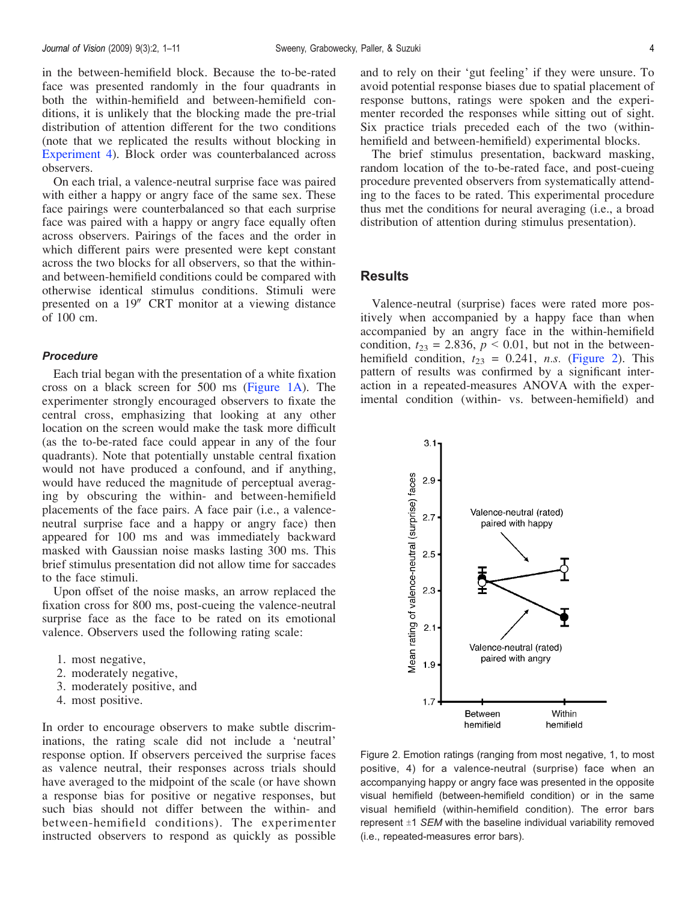in the between-hemifield block. Because the to-be-rated face was presented randomly in the four quadrants in both the within-hemifield and between-hemifield conditions, it is unlikely that the blocking made the pre-trial distribution of attention different for the two conditions (note that we replicated the results without blocking in [Experiment 4\)](#page-6-0). Block order was counterbalanced across observers.

On each trial, a valence-neutral surprise face was paired with either a happy or angry face of the same sex. These face pairings were counterbalanced so that each surprise face was paired with a happy or angry face equally often across observers. Pairings of the faces and the order in which different pairs were presented were kept constant across the two blocks for all observers, so that the withinand between-hemifield conditions could be compared with otherwise identical stimulus conditions. Stimuli were presented on a 19" CRT monitor at a viewing distance of 100 cm.

#### **Procedure**

Each trial began with the presentation of a white fixation cross on a black screen for 500 ms [\(Figure 1A](#page-1-0)). The experimenter strongly encouraged observers to fixate the central cross, emphasizing that looking at any other location on the screen would make the task more difficult (as the to-be-rated face could appear in any of the four quadrants). Note that potentially unstable central fixation would not have produced a confound, and if anything, would have reduced the magnitude of perceptual averaging by obscuring the within- and between-hemifield placements of the face pairs. A face pair (i.e., a valenceneutral surprise face and a happy or angry face) then appeared for 100 ms and was immediately backward masked with Gaussian noise masks lasting 300 ms. This brief stimulus presentation did not allow time for saccades to the face stimuli.

Upon offset of the noise masks, an arrow replaced the fixation cross for 800 ms, post-cueing the valence-neutral surprise face as the face to be rated on its emotional valence. Observers used the following rating scale:

- 1. most negative,
- 2. moderately negative,
- 3. moderately positive, and
- 4. most positive.

<span id="page-3-0"></span>In order to encourage observers to make subtle discriminations, the rating scale did not include a 'neutral' response option. If observers perceived the surprise faces as valence neutral, their responses across trials should have averaged to the midpoint of the scale (or have shown a response bias for positive or negative responses, but such bias should not differ between the within- and between-hemifield conditions). The experimenter instructed observers to respond as quickly as possible

and to rely on their 'gut feeling' if they were unsure. To avoid potential response biases due to spatial placement of response buttons, ratings were spoken and the experimenter recorded the responses while sitting out of sight. Six practice trials preceded each of the two (withinhemifield and between-hemifield) experimental blocks.

The brief stimulus presentation, backward masking, random location of the to-be-rated face, and post-cueing procedure prevented observers from systematically attending to the faces to be rated. This experimental procedure thus met the conditions for neural averaging (i.e., a broad distribution of attention during stimulus presentation).

#### **Results**

Valence-neutral (surprise) faces were rated more positively when accompanied by a happy face than when accompanied by an angry face in the within-hemifield condition,  $t_{23} = 2.836$ ,  $p < 0.01$ , but not in the betweenhemifield condition,  $t_{23} = 0.241$ , *n.s.* ([Figure 2](#page-3-0)). This pattern of results was confirmed by a significant interaction in a repeated-measures ANOVA with the experimental condition (within- vs. between-hemifield) and



Figure 2. Emotion ratings (ranging from most negative, 1, to most positive, 4) for a valence-neutral (surprise) face when an accompanying happy or angry face was presented in the opposite visual hemifield (between-hemifield condition) or in the same visual hemifield (within-hemifield condition). The error bars represent  $\pm 1$  SEM with the baseline individual variability removed (i.e., repeated-measures error bars).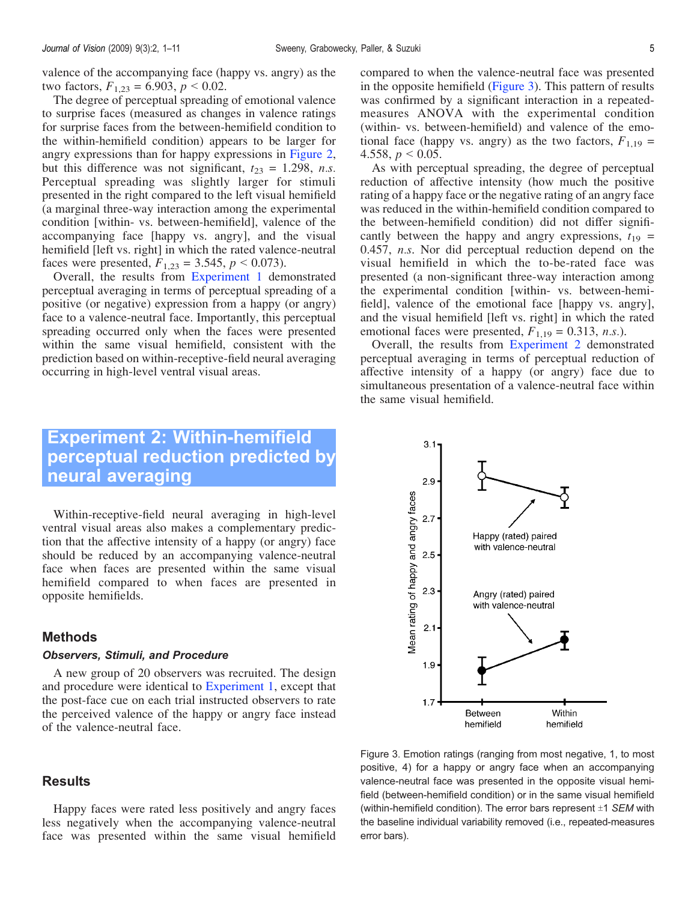valence of the accompanying face (happy vs. angry) as the two factors,  $F_{1,23} = 6.903$ ,  $p < 0.02$ .

The degree of perceptual spreading of emotional valence to surprise faces (measured as changes in valence ratings for surprise faces from the between-hemifield condition to the within-hemifield condition) appears to be larger for angry expressions than for happy expressions in [Figure 2](#page-3-0), but this difference was not significant,  $t_{23} = 1.298$ , n.s. Perceptual spreading was slightly larger for stimuli presented in the right compared to the left visual hemifield (a marginal three-way interaction among the experimental condition [within- vs. between-hemifield], valence of the accompanying face [happy vs. angry], and the visual hemifield [left vs. right] in which the rated valence-neutral faces were presented,  $F_{1,23} = 3.545$ ,  $p \le 0.073$ ).

Overall, the results from [Experiment 1](#page-2-0) demonstrated perceptual averaging in terms of perceptual spreading of a positive (or negative) expression from a happy (or angry) face to a valence-neutral face. Importantly, this perceptual spreading occurred only when the faces were presented within the same visual hemifield, consistent with the prediction based on within-receptive-field neural averaging occurring in high-level ventral visual areas.

## Experiment 2: Within-hemifield perceptual reduction predicted by neural averaging

Within-receptive-field neural averaging in high-level ventral visual areas also makes a complementary prediction that the affective intensity of a happy (or angry) face should be reduced by an accompanying valence-neutral face when faces are presented within the same visual hemifield compared to when faces are presented in opposite hemifields.

#### Methods

#### Observers, Stimuli, and Procedure

A new group of 20 observers was recruited. The design and procedure were identical to [Experiment 1,](#page-2-0) except that the post-face cue on each trial instructed observers to rate the perceived valence of the happy or angry face instead of the valence-neutral face.

#### **Results**

<span id="page-4-0"></span>Happy faces were rated less positively and angry faces less negatively when the accompanying valence-neutral face was presented within the same visual hemifield compared to when the valence-neutral face was presented in the opposite hemifield [\(Figure 3](#page-4-0)). This pattern of results was confirmed by a significant interaction in a repeatedmeasures ANOVA with the experimental condition (within- vs. between-hemifield) and valence of the emotional face (happy vs. angry) as the two factors,  $F_{1,19} =$ 4.558,  $p < 0.05$ .

As with perceptual spreading, the degree of perceptual reduction of affective intensity (how much the positive rating of a happy face or the negative rating of an angry face was reduced in the within-hemifield condition compared to the between-hemifield condition) did not differ significantly between the happy and angry expressions,  $t_{19}$  = 0.457, n.s. Nor did perceptual reduction depend on the visual hemifield in which the to-be-rated face was presented (a non-significant three-way interaction among the experimental condition [within- vs. between-hemifield], valence of the emotional face [happy vs. angry], and the visual hemifield [left vs. right] in which the rated emotional faces were presented,  $F_{1,19} = 0.313$ , n.s.).

Overall, the results from [Experiment 2](#page-4-0) demonstrated perceptual averaging in terms of perceptual reduction of affective intensity of a happy (or angry) face due to simultaneous presentation of a valence-neutral face within the same visual hemifield.



Figure 3. Emotion ratings (ranging from most negative, 1, to most positive, 4) for a happy or angry face when an accompanying valence-neutral face was presented in the opposite visual hemifield (between-hemifield condition) or in the same visual hemifield (within-hemifield condition). The error bars represent  $\pm 1$  SEM with the baseline individual variability removed (i.e., repeated-measures error bars).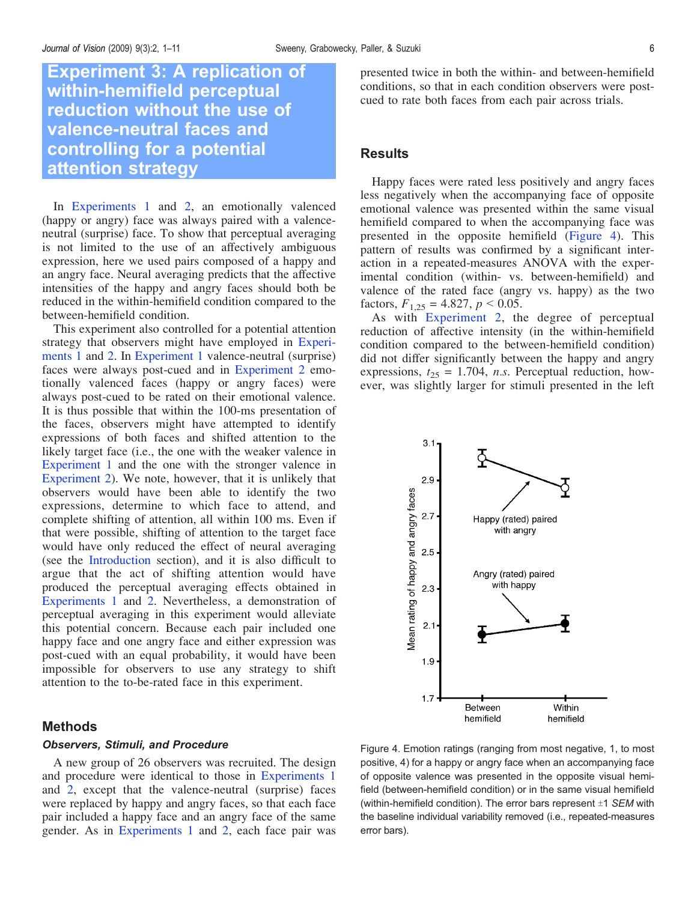Experiment 3: A replication of within-hemifield perceptual reduction without the use of valence-neutral faces and controlling for a potential attention strategy

In [Experiments 1](#page-2-0) and [2,](#page-4-0) an emotionally valenced (happy or angry) face was always paired with a valenceneutral (surprise) face. To show that perceptual averaging is not limited to the use of an affectively ambiguous expression, here we used pairs composed of a happy and an angry face. Neural averaging predicts that the affective intensities of the happy and angry faces should both be reduced in the within-hemifield condition compared to the between-hemifield condition.

This experiment also controlled for a potential attention strategy that observers might have employed in [Experi](#page-2-0)[ments 1](#page-2-0) and [2](#page-4-0). In [Experiment 1](#page-2-0) valence-neutral (surprise) faces were always post-cued and in [Experiment 2](#page-4-0) emotionally valenced faces (happy or angry faces) were always post-cued to be rated on their emotional valence. It is thus possible that within the 100-ms presentation of the faces, observers might have attempted to identify expressions of both faces and shifted attention to the likely target face (i.e., the one with the weaker valence in [Experiment 1](#page-2-0) and the one with the stronger valence in [Experiment 2\)](#page-4-0). We note, however, that it is unlikely that observers would have been able to identify the two expressions, determine to which face to attend, and complete shifting of attention, all within 100 ms. Even if that were possible, shifting of attention to the target face would have only reduced the effect of neural averaging (see the [Introduction](#page-0-0) section), and it is also difficult to argue that the act of shifting attention would have produced the perceptual averaging effects obtained in [Experiments 1](#page-2-0) and [2](#page-4-0). Nevertheless, a demonstration of perceptual averaging in this experiment would alleviate this potential concern. Because each pair included one happy face and one angry face and either expression was post-cued with an equal probability, it would have been impossible for observers to use any strategy to shift attention to the to-be-rated face in this experiment.

#### Methods

#### Observers, Stimuli, and Procedure

<span id="page-5-0"></span>A new group of 26 observers was recruited. The design and procedure were identical to those in [Experiments 1](#page-2-0) and [2](#page-4-0), except that the valence-neutral (surprise) faces were replaced by happy and angry faces, so that each face pair included a happy face and an angry face of the same gender. As in [Experiments 1](#page-2-0) and [2,](#page-4-0) each face pair was

presented twice in both the within- and between-hemifield conditions, so that in each condition observers were postcued to rate both faces from each pair across trials.

#### Results

Happy faces were rated less positively and angry faces less negatively when the accompanying face of opposite emotional valence was presented within the same visual hemifield compared to when the accompanying face was presented in the opposite hemifield ([Figure 4\)](#page-5-0). This pattern of results was confirmed by a significant interaction in a repeated-measures ANOVA with the experimental condition (within- vs. between-hemifield) and valence of the rated face (angry vs. happy) as the two factors,  $F_{1,25} = 4.827$ ,  $p < 0.05$ .

As with [Experiment 2,](#page-4-0) the degree of perceptual reduction of affective intensity (in the within-hemifield condition compared to the between-hemifield condition) did not differ significantly between the happy and angry expressions,  $t_{25} = 1.704$ , *n.s.* Perceptual reduction, however, was slightly larger for stimuli presented in the left



Figure 4. Emotion ratings (ranging from most negative, 1, to most positive, 4) for a happy or angry face when an accompanying face of opposite valence was presented in the opposite visual hemifield (between-hemifield condition) or in the same visual hemifield (within-hemifield condition). The error bars represent  $\pm 1$  SEM with the baseline individual variability removed (i.e., repeated-measures error bars).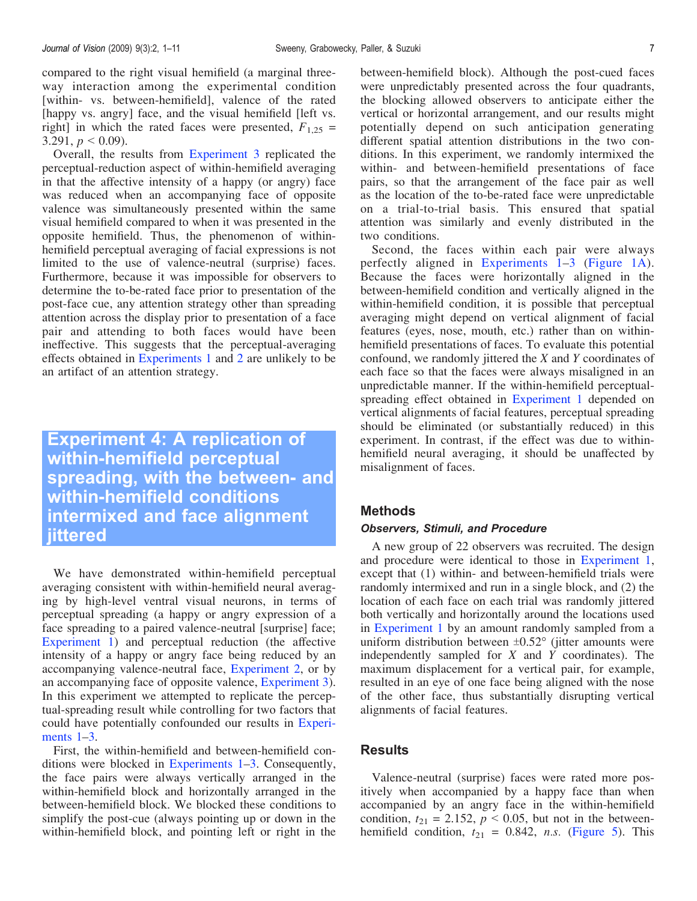compared to the right visual hemifield (a marginal threeway interaction among the experimental condition [within- vs. between-hemifield], valence of the rated [happy vs. angry] face, and the visual hemifield [left vs. right] in which the rated faces were presented,  $F_{1,25}$  = 3.291,  $p < 0.09$ ).

Overall, the results from [Experiment 3](#page-4-0) replicated the perceptual-reduction aspect of within-hemifield averaging in that the affective intensity of a happy (or angry) face was reduced when an accompanying face of opposite valence was simultaneously presented within the same visual hemifield compared to when it was presented in the opposite hemifield. Thus, the phenomenon of withinhemifield perceptual averaging of facial expressions is not limited to the use of valence-neutral (surprise) faces. Furthermore, because it was impossible for observers to determine the to-be-rated face prior to presentation of the post-face cue, any attention strategy other than spreading attention across the display prior to presentation of a face pair and attending to both faces would have been ineffective. This suggests that the perceptual-averaging effects obtained in [Experiments 1](#page-2-0) and [2](#page-4-0) are unlikely to be an artifact of an attention strategy.

Experiment 4: A replication of within-hemifield perceptual spreading, with the between- and within-hemifield conditions intermixed and face alignment jittered

We have demonstrated within-hemifield perceptual averaging consistent with within-hemifield neural averaging by high-level ventral visual neurons, in terms of perceptual spreading (a happy or angry expression of a face spreading to a paired valence-neutral [surprise] face; [Experiment 1](#page-2-0)) and perceptual reduction (the affective intensity of a happy or angry face being reduced by an accompanying valence-neutral face, [Experiment 2,](#page-4-0) or by an accompanying face of opposite valence, [Experiment 3\)](#page-4-0). In this experiment we attempted to replicate the perceptual-spreading result while controlling for two factors that could have potentially confounded our results in [Experi](#page-2-0)[ments 1](#page-2-0)–[3](#page-4-0).

<span id="page-6-0"></span>First, the within-hemifield and between-hemifield conditions were blocked in [Experiments 1](#page-2-0)–[3](#page-4-0). Consequently, the face pairs were always vertically arranged in the within-hemifield block and horizontally arranged in the between-hemifield block. We blocked these conditions to simplify the post-cue (always pointing up or down in the within-hemifield block, and pointing left or right in the between-hemifield block). Although the post-cued faces were unpredictably presented across the four quadrants, the blocking allowed observers to anticipate either the vertical or horizontal arrangement, and our results might potentially depend on such anticipation generating different spatial attention distributions in the two conditions. In this experiment, we randomly intermixed the within- and between-hemifield presentations of face pairs, so that the arrangement of the face pair as well as the location of the to-be-rated face were unpredictable on a trial-to-trial basis. This ensured that spatial attention was similarly and evenly distributed in the two conditions.

Second, the faces within each pair were always perfectly aligned in [Experiments 1](#page-2-0)–[3](#page-4-0) ([Figure 1A](#page-1-0)). Because the faces were horizontally aligned in the between-hemifield condition and vertically aligned in the within-hemifield condition, it is possible that perceptual averaging might depend on vertical alignment of facial features (eyes, nose, mouth, etc.) rather than on withinhemifield presentations of faces. To evaluate this potential confound, we randomly jittered the X and Y coordinates of each face so that the faces were always misaligned in an unpredictable manner. If the within-hemifield perceptualspreading effect obtained in [Experiment 1](#page-2-0) depended on vertical alignments of facial features, perceptual spreading should be eliminated (or substantially reduced) in this experiment. In contrast, if the effect was due to withinhemifield neural averaging, it should be unaffected by misalignment of faces.

#### Methods

#### Observers, Stimuli, and Procedure

A new group of 22 observers was recruited. The design and procedure were identical to those in [Experiment 1](#page-2-0), except that (1) within- and between-hemifield trials were randomly intermixed and run in a single block, and (2) the location of each face on each trial was randomly jittered both vertically and horizontally around the locations used in [Experiment 1](#page-2-0) by an amount randomly sampled from a uniform distribution between  $\pm 0.52$ ° (jitter amounts were independently sampled for  $X$  and  $Y$  coordinates). The maximum displacement for a vertical pair, for example, resulted in an eye of one face being aligned with the nose of the other face, thus substantially disrupting vertical alignments of facial features.

#### **Results**

Valence-neutral (surprise) faces were rated more positively when accompanied by a happy face than when accompanied by an angry face in the within-hemifield condition,  $t_{21} = 2.152$ ,  $p < 0.05$ , but not in the betweenhemifield condition,  $t_{21} = 0.842$ , *n.s.* ([Figure 5](#page-7-0)). This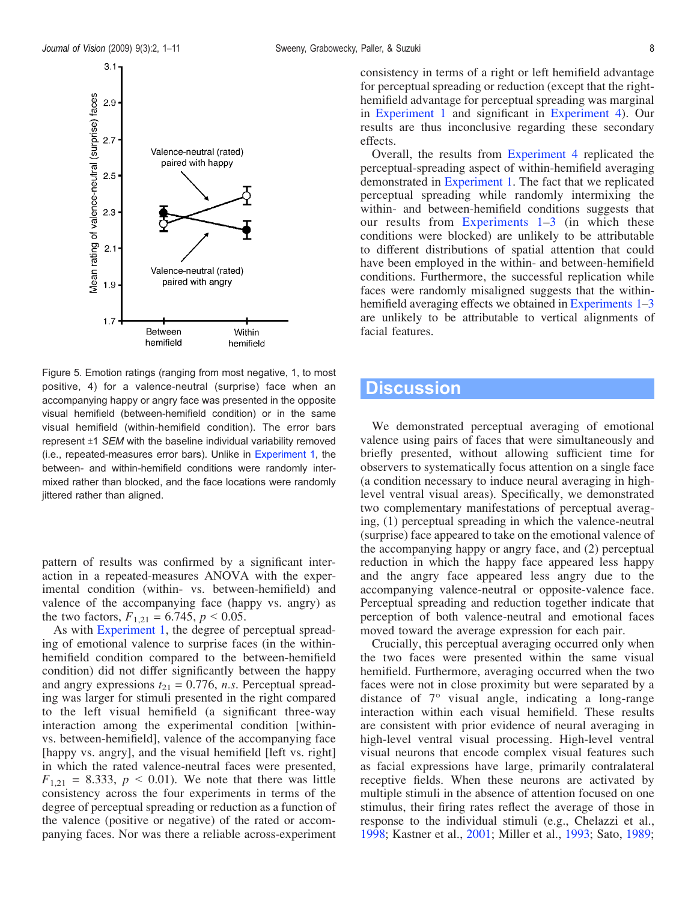

Figure 5. Emotion ratings (ranging from most negative, 1, to most positive, 4) for a valence-neutral (surprise) face when an accompanying happy or angry face was presented in the opposite visual hemifield (between-hemifield condition) or in the same visual hemifield (within-hemifield condition). The error bars represent  $\pm 1$  SEM with the baseline individual variability removed (i.e., repeated-measures error bars). Unlike in [Experiment 1](#page-2-0), the between- and within-hemifield conditions were randomly intermixed rather than blocked, and the face locations were randomly jittered rather than aligned.

pattern of results was confirmed by a significant interaction in a repeated-measures ANOVA with the experimental condition (within- vs. between-hemifield) and valence of the accompanying face (happy vs. angry) as the two factors,  $F_{1,21} = 6.745$ ,  $p < 0.05$ .

<span id="page-7-0"></span>As with [Experiment 1,](#page-2-0) the degree of perceptual spreading of emotional valence to surprise faces (in the withinhemifield condition compared to the between-hemifield condition) did not differ significantly between the happy and angry expressions  $t_{21} = 0.776$ , *n.s.* Perceptual spreading was larger for stimuli presented in the right compared to the left visual hemifield (a significant three-way interaction among the experimental condition [withinvs. between-hemifield], valence of the accompanying face [happy vs. angry], and the visual hemifield [left vs. right] in which the rated valence-neutral faces were presented,  $F_{1,21} = 8.333, p \le 0.01$ . We note that there was little consistency across the four experiments in terms of the degree of perceptual spreading or reduction as a function of the valence (positive or negative) of the rated or accompanying faces. Nor was there a reliable across-experiment

consistency in terms of a right or left hemifield advantage for perceptual spreading or reduction (except that the righthemifield advantage for perceptual spreading was marginal in [Experiment 1](#page-2-0) and significant in [Experiment 4](#page-6-0)). Our results are thus inconclusive regarding these secondary effects.

Overall, the results from [Experiment 4](#page-6-0) replicated the perceptual-spreading aspect of within-hemifield averaging demonstrated in [Experiment 1](#page-2-0). The fact that we replicated perceptual spreading while randomly intermixing the within- and between-hemifield conditions suggests that our results from Experiments  $1-3$  $1-3$  (in which these conditions were blocked) are unlikely to be attributable to different distributions of spatial attention that could have been employed in the within- and between-hemifield conditions. Furthermore, the successful replication while faces were randomly misaligned suggests that the withinhemifield averaging effects we obtained in [Experiments 1](#page-2-0)[–3](#page-4-0) are unlikely to be attributable to vertical alignments of facial features.

### **Discussion**

We demonstrated perceptual averaging of emotional valence using pairs of faces that were simultaneously and briefly presented, without allowing sufficient time for observers to systematically focus attention on a single face (a condition necessary to induce neural averaging in highlevel ventral visual areas). Specifically, we demonstrated two complementary manifestations of perceptual averaging, (1) perceptual spreading in which the valence-neutral (surprise) face appeared to take on the emotional valence of the accompanying happy or angry face, and (2) perceptual reduction in which the happy face appeared less happy and the angry face appeared less angry due to the accompanying valence-neutral or opposite-valence face. Perceptual spreading and reduction together indicate that perception of both valence-neutral and emotional faces moved toward the average expression for each pair.

Crucially, this perceptual averaging occurred only when the two faces were presented within the same visual hemifield. Furthermore, averaging occurred when the two faces were not in close proximity but were separated by a distance of  $7^{\circ}$  visual angle, indicating a long-range interaction within each visual hemifield. These results are consistent with prior evidence of neural averaging in high-level ventral visual processing. High-level ventral visual neurons that encode complex visual features such as facial expressions have large, primarily contralateral receptive fields. When these neurons are activated by multiple stimuli in the absence of attention focused on one stimulus, their firing rates reflect the average of those in response to the individual stimuli (e.g., Chelazzi et al., [1998;](#page-9-0) Kastner et al., [2001;](#page-9-0) Miller et al., [1993](#page-9-0); Sato, [1989;](#page-9-0)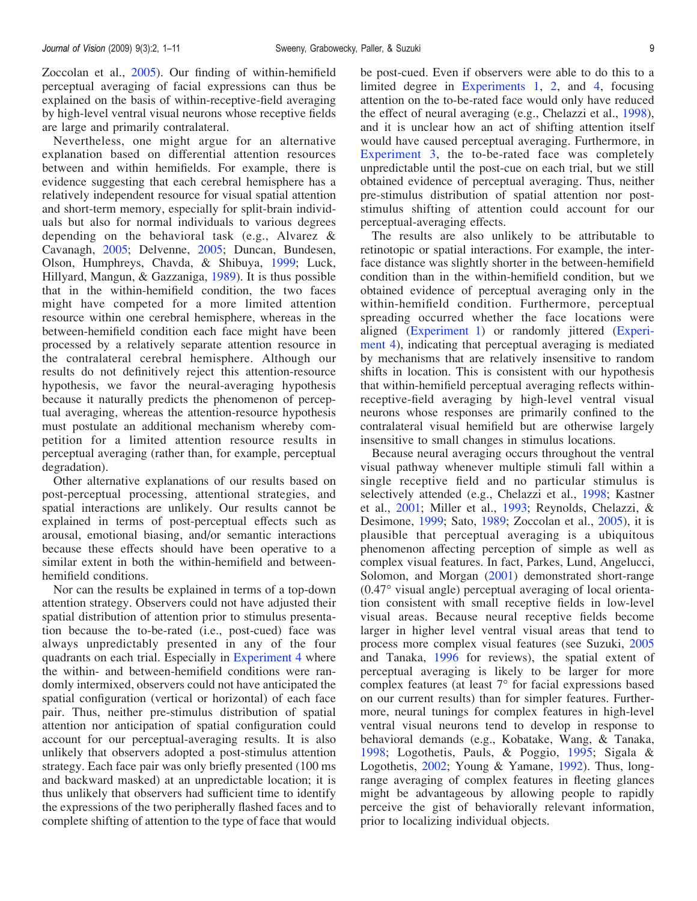Zoccolan et al., [2005](#page-10-0)). Our finding of within-hemifield perceptual averaging of facial expressions can thus be explained on the basis of within-receptive-field averaging by high-level ventral visual neurons whose receptive fields are large and primarily contralateral.

Nevertheless, one might argue for an alternative explanation based on differential attention resources between and within hemifields. For example, there is evidence suggesting that each cerebral hemisphere has a relatively independent resource for visual spatial attention and short-term memory, especially for split-brain individuals but also for normal individuals to various degrees depending on the behavioral task (e.g., Alvarez & Cavanagh, [2005](#page-9-0); Delvenne, [2005;](#page-9-0) Duncan, Bundesen, Olson, Humphreys, Chavda, & Shibuya, [1999;](#page-9-0) Luck, Hillyard, Mangun, & Gazzaniga, [1989](#page-9-0)). It is thus possible that in the within-hemifield condition, the two faces might have competed for a more limited attention resource within one cerebral hemisphere, whereas in the between-hemifield condition each face might have been processed by a relatively separate attention resource in the contralateral cerebral hemisphere. Although our results do not definitively reject this attention-resource hypothesis, we favor the neural-averaging hypothesis because it naturally predicts the phenomenon of perceptual averaging, whereas the attention-resource hypothesis must postulate an additional mechanism whereby competition for a limited attention resource results in perceptual averaging (rather than, for example, perceptual degradation).

Other alternative explanations of our results based on post-perceptual processing, attentional strategies, and spatial interactions are unlikely. Our results cannot be explained in terms of post-perceptual effects such as arousal, emotional biasing, and/or semantic interactions because these effects should have been operative to a similar extent in both the within-hemifield and betweenhemifield conditions.

Nor can the results be explained in terms of a top-down attention strategy. Observers could not have adjusted their spatial distribution of attention prior to stimulus presentation because the to-be-rated (i.e., post-cued) face was always unpredictably presented in any of the four quadrants on each trial. Especially in [Experiment 4](#page-6-0) where the within- and between-hemifield conditions were randomly intermixed, observers could not have anticipated the spatial configuration (vertical or horizontal) of each face pair. Thus, neither pre-stimulus distribution of spatial attention nor anticipation of spatial configuration could account for our perceptual-averaging results. It is also unlikely that observers adopted a post-stimulus attention strategy. Each face pair was only briefly presented (100 ms and backward masked) at an unpredictable location; it is thus unlikely that observers had sufficient time to identify the expressions of the two peripherally flashed faces and to complete shifting of attention to the type of face that would

be post-cued. Even if observers were able to do this to a limited degree in [Experiments 1](#page-2-0), [2](#page-4-0), and [4](#page-6-0), focusing attention on the to-be-rated face would only have reduced the effect of neural averaging (e.g., Chelazzi et al., [1998\)](#page-9-0), and it is unclear how an act of shifting attention itself would have caused perceptual averaging. Furthermore, in [Experiment 3](#page-4-0), the to-be-rated face was completely unpredictable until the post-cue on each trial, but we still obtained evidence of perceptual averaging. Thus, neither pre-stimulus distribution of spatial attention nor poststimulus shifting of attention could account for our perceptual-averaging effects.

The results are also unlikely to be attributable to retinotopic or spatial interactions. For example, the interface distance was slightly shorter in the between-hemifield condition than in the within-hemifield condition, but we obtained evidence of perceptual averaging only in the within-hemifield condition. Furthermore, perceptual spreading occurred whether the face locations were aligned ([Experiment 1\)](#page-2-0) or randomly jittered [\(Experi](#page-6-0)[ment 4](#page-6-0)), indicating that perceptual averaging is mediated by mechanisms that are relatively insensitive to random shifts in location. This is consistent with our hypothesis that within-hemifield perceptual averaging reflects withinreceptive-field averaging by high-level ventral visual neurons whose responses are primarily confined to the contralateral visual hemifield but are otherwise largely insensitive to small changes in stimulus locations.

Because neural averaging occurs throughout the ventral visual pathway whenever multiple stimuli fall within a single receptive field and no particular stimulus is selectively attended (e.g., Chelazzi et al., [1998](#page-9-0); Kastner et al., [2001;](#page-9-0) Miller et al., [1993](#page-9-0); Reynolds, Chelazzi, & Desimone, [1999;](#page-9-0) Sato, [1989;](#page-9-0) Zoccolan et al., [2005](#page-10-0)), it is plausible that perceptual averaging is a ubiquitous phenomenon affecting perception of simple as well as complex visual features. In fact, Parkes, Lund, Angelucci, Solomon, and Morgan ([2001](#page-9-0)) demonstrated short-range  $(0.47°)$  visual angle) perceptual averaging of local orientation consistent with small receptive fields in low-level visual areas. Because neural receptive fields become larger in higher level ventral visual areas that tend to process more complex visual features (see Suzuki, [2005](#page-10-0) and Tanaka, [1996](#page-10-0) for reviews), the spatial extent of perceptual averaging is likely to be larger for more complex features (at least  $7^{\circ}$  for facial expressions based on our current results) than for simpler features. Furthermore, neural tunings for complex features in high-level ventral visual neurons tend to develop in response to behavioral demands (e.g., Kobatake, Wang, & Tanaka, [1998](#page-9-0); Logothetis, Pauls, & Poggio, [1995;](#page-9-0) Sigala & Logothetis, [2002;](#page-10-0) Young & Yamane, [1992](#page-10-0)). Thus, longrange averaging of complex features in fleeting glances might be advantageous by allowing people to rapidly perceive the gist of behaviorally relevant information, prior to localizing individual objects.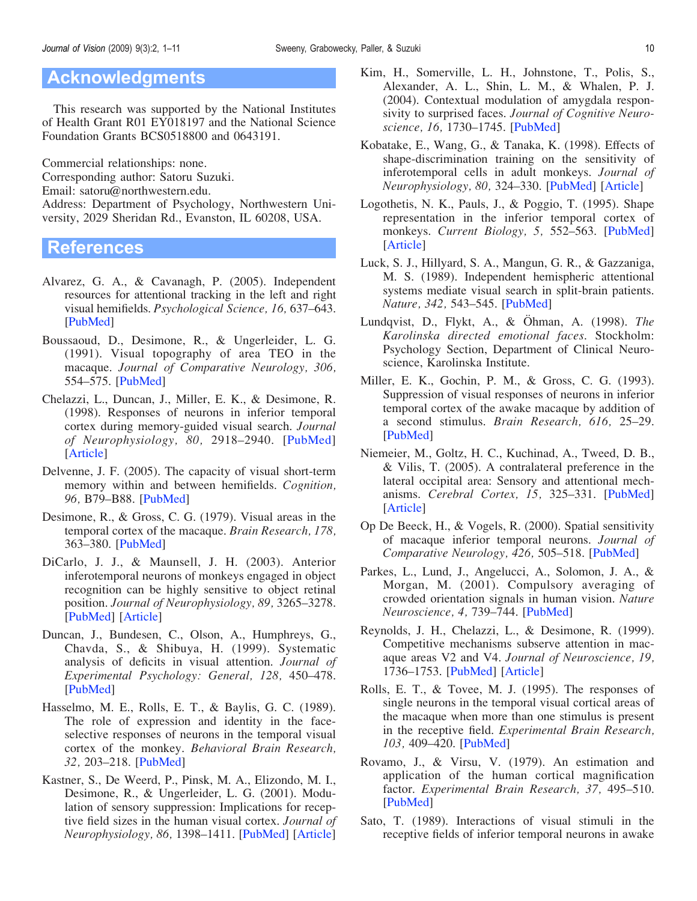## Acknowledgments

This research was supported by the National Institutes of Health Grant R01 EY018197 and the National Science Foundation Grants BCS0518800 and 0643191.

Commercial relationships: none.

Corresponding author: Satoru Suzuki.

Email: satoru@northwestern.edu.

Address: Department of Psychology, Northwestern University, 2029 Sheridan Rd., Evanston, IL 60208, USA.

### References

- Alvarez, G. A., & Cavanagh, P. (2005). Independent resources for attentional tracking in the left and right visual hemifields. Psychological Science, 16, 637–643. [\[PubMed\]](http://www.ncbi.nlm.nih.gov/pubmed/16102067?ordinalpos=3&itool=EntrezSystem2.PEntrez.Pubmed.Pubmed_ResultsPanel.Pubmed_DefaultReportPanel.Pubmed_RVDocSum)
- Boussaoud, D., Desimone, R., & Ungerleider, L. G. (1991). Visual topography of area TEO in the macaque. Journal of Comparative Neurology, 306, 554–575. [\[PubMed](http://www.ncbi.nlm.nih.gov/pubmed/1712794?ordinalpos=3&itool=EntrezSystem2.PEntrez.Pubmed.Pubmed_ResultsPanel.Pubmed_DefaultReportPanel.Pubmed_RVDocSum)]
- Chelazzi, L., Duncan, J., Miller, E. K., & Desimone, R. (1998). Responses of neurons in inferior temporal cortex during memory-guided visual search. Journal of Neurophysiology, 80, 2918-2940. [\[PubMed\]](http://www.ncbi.nlm.nih.gov/pubmed/9862896?ordinalpos=2&itool=EntrezSystem2.PEntrez.Pubmed.Pubmed_ResultsPanel.Pubmed_DefaultReportPanel.Pubmed_RVDocSum) [\[Article\]](http://jn.physiology.org/cgi/content/full/80/6/2918)
- Delvenne, J. F. (2005). The capacity of visual short-term memory within and between hemifields. *Cognition*, 96, B79–B88. [\[PubMed](http://www.ncbi.nlm.nih.gov/pubmed/15996557?ordinalpos=3&itool=EntrezSystem2.PEntrez.Pubmed.Pubmed_ResultsPanel.Pubmed_DefaultReportPanel.Pubmed_RVDocSum)]
- Desimone, R., & Gross, C. G. (1979). Visual areas in the temporal cortex of the macaque. Brain Research, 178, 363–380. [\[PubMed](http://www.ncbi.nlm.nih.gov/pubmed/116712?ordinalpos=104&itool=EntrezSystem2.PEntrez.Pubmed.Pubmed_ResultsPanel.Pubmed_DefaultReportPanel.Pubmed_RVDocSum)]
- DiCarlo, J. J., & Maunsell, J. H. (2003). Anterior inferotemporal neurons of monkeys engaged in object recognition can be highly sensitive to object retinal position. Journal of Neurophysiology, 89, 3265–3278. [\[PubMed](http://www.ncbi.nlm.nih.gov/pubmed/12783959?ordinalpos=17&itool=EntrezSystem2.PEntrez.Pubmed.Pubmed_ResultsPanel.Pubmed_DefaultReportPanel.Pubmed_RVDocSum)] [\[Article\]](http://jn.physiology.org/cgi/content/full/89/6/3264)
- Duncan, J., Bundesen, C., Olson, A., Humphreys, G., Chavda, S., & Shibuya, H. (1999). Systematic analysis of deficits in visual attention. Journal of Experimental Psychology: General, 128, 450–478. [\[PubMed](http://www.ncbi.nlm.nih.gov/pubmed/10650583?ordinalpos=25&itool=EntrezSystem2.PEntrez.Pubmed.Pubmed_ResultsPanel.Pubmed_DefaultReportPanel.Pubmed_RVDocSum)]
- Hasselmo, M. E., Rolls, E. T., & Baylis, G. C. (1989). The role of expression and identity in the faceselective responses of neurons in the temporal visual cortex of the monkey. Behavioral Brain Research, 32, 203–218. [\[PubMed](http://www.ncbi.nlm.nih.gov/pubmed/2713076?ordinalpos=2&itool=EntrezSystem2.PEntrez.Pubmed.Pubmed_ResultsPanel.Pubmed_DefaultReportPanel.Pubmed_RVDocSum)]
- <span id="page-9-0"></span>Kastner, S., De Weerd, P., Pinsk, M. A., Elizondo, M. I., Desimone, R., & Ungerleider, L. G. (2001). Modulation of sensory suppression: Implications for receptive field sizes in the human visual cortex. Journal of Neurophysiology, 86, 1398–1411. [\[PubMed](http://www.ncbi.nlm.nih.gov/pubmed/11535686?ordinalpos=12&itool=EntrezSystem2.PEntrez.Pubmed.Pubmed_ResultsPanel.Pubmed_DefaultReportPanel.Pubmed_RVDocSum)] [\[Article\]](http://jn.physiology.org/cgi/content/full/86/3/1398)
- Kim, H., Somerville, L. H., Johnstone, T., Polis, S., Alexander, A. L., Shin, L. M., & Whalen, P. J. (2004). Contextual modulation of amygdala responsivity to surprised faces. Journal of Cognitive Neuro-science, 16, 1730-1745. [[PubMed\]](http://www.ncbi.nlm.nih.gov/pubmed/15701225?ordinalpos=21&itool=EntrezSystem2.PEntrez.Pubmed.Pubmed_ResultsPanel.Pubmed_DefaultReportPanel.Pubmed_RVDocSum)
- Kobatake, E., Wang, G., & Tanaka, K. (1998). Effects of shape-discrimination training on the sensitivity of inferotemporal cells in adult monkeys. Journal of Neurophysiology, 80, 324–330. [\[PubMed](http://www.ncbi.nlm.nih.gov/pubmed/9658053?ordinalpos=36&itool=EntrezSystem2.PEntrez.Pubmed.Pubmed_ResultsPanel.Pubmed_DefaultReportPanel.Pubmed_RVDocSum)] [\[Article\]](http://jn.physiology.org/cgi/content/full/80/1/324)
- Logothetis, N. K., Pauls, J., & Poggio, T. (1995). Shape representation in the inferior temporal cortex of monkeys. Current Biology, 5, 552-563. [\[PubMed](http://www.ncbi.nlm.nih.gov/pubmed/7583105?ordinalpos=24&itool=EntrezSystem2.PEntrez.Pubmed.Pubmed_ResultsPanel.Pubmed_DefaultReportPanel.Pubmed_RVDocSum)] [\[Article\]](http://www.sciencedirect.com/science?_ob=ArticleURL&_udi=B6VRT-4D5X17P-1M&_user=10&_rdoc=1&_fmt=&_orig=search&_sort=d&view=c&_acct=C000050221&_version=1&_urlVersion=0&_userid=10&md5=05b64ca6cd1a7e9fb15f06515b487e0f)
- Luck, S. J., Hillyard, S. A., Mangun, G. R., & Gazzaniga, M. S. (1989). Independent hemispheric attentional systems mediate visual search in split-brain patients. Nature, 342, 543–545. [\[PubMed](http://www.ncbi.nlm.nih.gov/pubmed/2586625?ordinalpos=2&itool=EntrezSystem2.PEntrez.Pubmed.Pubmed_ResultsPanel.Pubmed_DefaultReportPanel.Pubmed_RVDocSum)]
- Lundqvist, D., Flykt, A., & Öhman, A.  $(1998)$ . The Karolinska directed emotional faces. Stockholm: Psychology Section, Department of Clinical Neuroscience, Karolinska Institute.
- Miller, E. K., Gochin, P. M., & Gross, C. G. (1993). Suppression of visual responses of neurons in inferior temporal cortex of the awake macaque by addition of a second stimulus. Brain Research, 616, 25–29. [\[PubMed](http://www.ncbi.nlm.nih.gov/pubmed/8358617?ordinalpos=4&itool=EntrezSystem2.PEntrez.Pubmed.Pubmed_ResultsPanel.Pubmed_DefaultReportPanel.Pubmed_RVDocSum)]
- Niemeier, M., Goltz, H. C., Kuchinad, A., Tweed, D. B., & Vilis, T. (2005). A contralateral preference in the lateral occipital area: Sensory and attentional mech-anisms. Cerebral Cortex, 15, 325-331. [\[PubMed](http://www.ncbi.nlm.nih.gov/pubmed/15269109?ordinalpos=8&itool=EntrezSystem2.PEntrez.Pubmed.Pubmed_ResultsPanel.Pubmed_DefaultReportPanel.Pubmed_RVDocSum)] [\[Article\]](http://cercor.oxfordjournals.org/cgi/content/full/15/3/325)
- Op De Beeck, H., & Vogels, R. (2000). Spatial sensitivity of macaque inferior temporal neurons. Journal of Comparative Neurology, 426, 505–518. [\[PubMed](http://www.ncbi.nlm.nih.gov/pubmed/11027395?ordinalpos=2&itool=EntrezSystem2.PEntrez.Pubmed.Pubmed_ResultsPanel.Pubmed_DefaultReportPanel.Pubmed_RVDocSum)]
- Parkes, L., Lund, J., Angelucci, A., Solomon, J. A., & Morgan, M. (2001). Compulsory averaging of crowded orientation signals in human vision. Nature Neuroscience, 4, 739–744. [[PubMed\]](http://www.ncbi.nlm.nih.gov/pubmed/11426231?ordinalpos=2&itool=EntrezSystem2.PEntrez.Pubmed.Pubmed_ResultsPanel.Pubmed_DefaultReportPanel.Pubmed_RVDocSum)
- Reynolds, J. H., Chelazzi, L., & Desimone, R. (1999). Competitive mechanisms subserve attention in macaque areas V2 and V4. Journal of Neuroscience, 19, 1736–1753. [[PubMed\]](http://www.ncbi.nlm.nih.gov/pubmed/10024360?ordinalpos=18&itool=EntrezSystem2.PEntrez.Pubmed.Pubmed_ResultsPanel.Pubmed_DefaultReportPanel.Pubmed_RVDocSum) [[Article](http://www.jneurosci.org/cgi/content/full/19/5/1736)]
- Rolls, E. T., & Tovee, M. J. (1995). The responses of single neurons in the temporal visual cortical areas of the macaque when more than one stimulus is present in the receptive field. Experimental Brain Research, 103, 409–420. [[PubMed\]](http://www.ncbi.nlm.nih.gov/pubmed/7789447?ordinalpos=43&itool=EntrezSystem2.PEntrez.Pubmed.Pubmed_ResultsPanel.Pubmed_DefaultReportPanel.Pubmed_RVDocSum)
- Rovamo, J., & Virsu, V. (1979). An estimation and application of the human cortical magnification factor. Experimental Brain Research, 37, 495–510. [\[PubMed](http://www.ncbi.nlm.nih.gov/pubmed/520439?ordinalpos=70&itool=EntrezSystem2.PEntrez.Pubmed.Pubmed_ResultsPanel.Pubmed_DefaultReportPanel.Pubmed_RVDocSum)]
- Sato, T. (1989). Interactions of visual stimuli in the receptive fields of inferior temporal neurons in awake